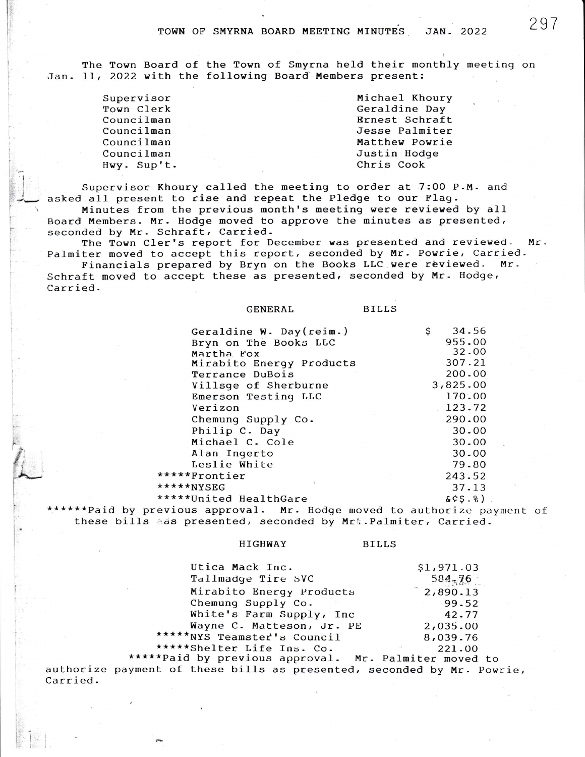The Town Board of the Town of Smyrna held their monthly meeting on Jan. 11, 2022 with the following Board Members present:

| Supervisor  | Michael Khoury        |
|-------------|-----------------------|
| Town Clerk  | Geraldine Day         |
| Councilman  | <b>Rrnest Schraft</b> |
| Councilman  | Jesse Palmiter        |
| Councilman  | Matthew Powrie        |
| Councilman  | Justin Hodge          |
| Hwy. Sup't. | Chris Cook            |
|             |                       |

Supervisor Khoury called the meeting to order at 7:00 P.M. and asked all present to rise and repeat the Pledge to our Flag. Minutes from the previous month's meeting were reviewed by all Board Members. Mr. Hodge moved to approve the minutes as presented, seconded by Mr. Schraft, Carried.

The Town Cler's report for December was presented and reviewed.  $Mr.$ Palmiter moved to accept this report, seconded by Mr. Powrie, Carried.

Financials prepared by Bryn on the Books LLC were reviewed. Mr. Schraft moved to accept these as presented, seconded by Mr. Hodge, Carried.

**GENERAL** 

| Geraldine W. Day(reim.)  | 34.56<br>\$ |
|--------------------------|-------------|
| Bryn on The Books LLC    | 955.00      |
| Martha Fox               | 32.00       |
| Mirabito Energy Products | 307.21      |
| Terrance DuBois          | 200.00      |
| Villsge of Sherburne     | 3,825.00    |
| Emerson Testing LLC      | 170.00      |
| Verizon                  | 123.72      |
| Chemung Supply Co.       | 290.00      |
| Philip C. Day            | 30.00       |
| Michael C. Cole          | 30.00       |
| Alan Ingerto             | 30.00       |
| Leslie White             | 79.80       |
| *****Frontier            | 243.52      |
| *****NYSEG               | 37.13       |
| *****United HealthGare   | 85.8)       |
|                          |             |

\*\*\*\*\*\*Paid by previous approval. Mr. Hodge moved to authorize payment of these bills ads presented, seconded by Mrt. Palmiter, Carried.

## **HIGHWAY**

**BILLS** 

**BILLS** 

| Utica Mack Inc.             | \$1,971.03          |
|-----------------------------|---------------------|
| Tallmadge Tire SVC          | 584, 76             |
| Mirabito Energy Products    | $^{\circ}$ 2,890.13 |
| Chemung Supply Co.          | 99.52               |
| White's Farm Supply, Inc    | 42.77               |
| Wayne C. Matteson, Jr. PE   | 2,035.00            |
| *****NYS Teamster's Council | 8,039.76            |
| *****Shelter Life Ins. Co.  | 221.00              |

\*\*\*\*\*Paid by previous approval. Mr. Palmiter moved to authorize payment of these bills as presented, seconded by Mr. Powrie, Carried.